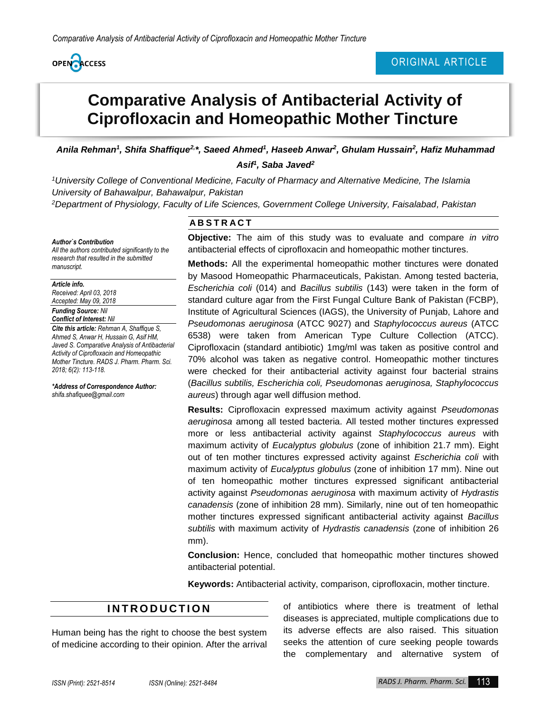

# **Comparative Analysis of Antibacterial Activity of Ciprofloxacin and Homeopathic Mother Tincture**

Anila Rehman<sup>1</sup>, Shifa Shaffique<sup>2,\*</sup>, Saeed Ahmed<sup>1</sup>, Haseeb Anwar<sup>2</sup>, Ghulam Hussain<sup>2</sup>, Hafiz Muhammad *Asif<sup>1</sup> , Saba Javed<sup>2</sup>*

*<sup>1</sup>University College of Conventional Medicine, Faculty of Pharmacy and Alternative Medicine, The Islamia University of Bahawalpur, Bahawalpur, Pakistan*

*<sup>2</sup>Department of Physiology, Faculty of Life Sciences, Government College University, Faisalabad, Pakistan*

#### *Author`s Contribution*

*All the authors contributed significantly to the research that resulted in the submitted manuscript.*

*Article info.*

*Received: April 03, 2018 Accepted: May 09, 2018*

#### *Funding Source: Nil Conflict of Interest: Nil*

*Cite this article: Rehman A, Shaffique S, Ahmed S, Anwar H, Hussain G, Asif HM, Javed S. Comparative Analysis of Antibacterial Activity of Ciprofloxacin and Homeopathic Mother Tincture. RADS J. Pharm. Pharm. Sci. 2018; 6(2): 113-118.*

*\*Address of Correspondence Author: shifa.shafiquee@gmail.com*

## **A B S T R A C T**

**Objective:** The aim of this study was to evaluate and compare *in vitro* antibacterial effects of ciprofloxacin and homeopathic mother tinctures.

**Methods:** All the experimental homeopathic mother tinctures were donated by Masood Homeopathic Pharmaceuticals, Pakistan. Among tested bacteria, *Escherichia coli* (014) and *Bacillus subtilis* (143) were taken in the form of standard culture agar from the First Fungal Culture Bank of Pakistan (FCBP), Institute of Agricultural Sciences (IAGS), the University of Punjab, Lahore and *Pseudomonas aeruginosa* (ATCC 9027) and *Staphylococcus aureus* (ATCC 6538) were taken from American Type Culture Collection (ATCC). Ciprofloxacin (standard antibiotic) 1mg/ml was taken as positive control and 70% alcohol was taken as negative control. Homeopathic mother tinctures were checked for their antibacterial activity against four bacterial strains (*Bacillus subtilis, Escherichia coli, Pseudomonas aeruginosa, Staphylococcus aureus*) through agar well diffusion method.

**Results:** Ciprofloxacin expressed maximum activity against *Pseudomonas aeruginosa* among all tested bacteria. All tested mother tinctures expressed more or less antibacterial activity against *Staphylococcus aureus* with maximum activity of *Eucalyptus globulus* (zone of inhibition 21.7 mm). Eight out of ten mother tinctures expressed activity against *Escherichia coli* with maximum activity of *Eucalyptus globulus* (zone of inhibition 17 mm). Nine out of ten homeopathic mother tinctures expressed significant antibacterial activity against *Pseudomonas aeruginosa* with maximum activity of *Hydrastis canadensis* (zone of inhibition 28 mm). Similarly, nine out of ten homeopathic mother tinctures expressed significant antibacterial activity against *Bacillus subtilis* with maximum activity of *Hydrastis canadensis* (zone of inhibition 26 mm).

**Conclusion:** Hence, concluded that homeopathic mother tinctures showed antibacterial potential.

**Keywords:** Antibacterial activity, comparison, ciprofloxacin, mother tincture.

## **I N T R O D U C T I O N**

Human being has the right to choose the best system of medicine according to their opinion. After the arrival

of antibiotics where there is treatment of lethal diseases is appreciated, multiple complications due to its adverse effects are also raised. This situation seeks the attention of cure seeking people towards the complementary and alternative system of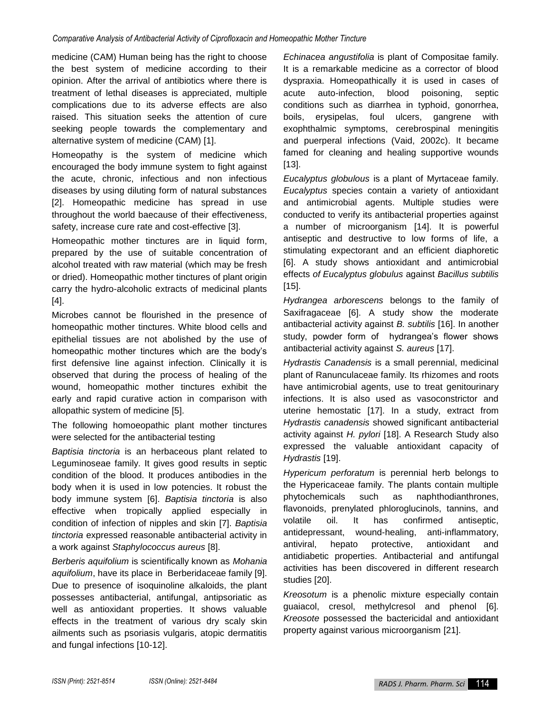medicine (CAM) Human being has the right to choose the best system of medicine according to their opinion. After the arrival of antibiotics where there is treatment of lethal diseases is appreciated, multiple complications due to its adverse effects are also raised. This situation seeks the attention of cure seeking people towards the complementary and alternative system of medicine (CAM) [1].

Homeopathy is the system of medicine which encouraged the body immune system to fight against the acute, chronic, infectious and non infectious diseases by using diluting form of natural substances [2]. Homeopathic medicine has spread in use throughout the world baecause of their effectiveness, safety, increase cure rate and cost-effective [3].

Homeopathic mother tinctures are in liquid form, prepared by the use of suitable concentration of alcohol treated with raw material (which may be fresh or dried). Homeopathic mother tinctures of plant origin carry the hydro-alcoholic extracts of medicinal plants [4].

Microbes cannot be flourished in the presence of homeopathic mother tinctures. White blood cells and epithelial tissues are not abolished by the use of homeopathic mother tinctures which are the body's first defensive line against infection. Clinically it is observed that during the process of healing of the wound, homeopathic mother tinctures exhibit the early and rapid curative action in comparison with allopathic system of medicine [5].

The following homoeopathic plant mother tinctures were selected for the antibacterial testing

*Baptisia tinctoria* is an herbaceous plant related to Leguminoseae family. It gives good results in septic condition of the blood. It produces antibodies in the body when it is used in low potencies. It robust the body immune system [6]. *Baptisia tinctoria* is also effective when tropically applied especially in condition of infection of nipples and skin [7]. *Baptisia tinctoria* expressed reasonable antibacterial activity in a work against *Staphylococcus aureus* [8].

*Berberis aquifolium* is scientifically known as *Mohania aquifolium*, have its place in Berberidaceae family [9]. Due to presence of isoquinoline alkaloids, the plant possesses antibacterial, antifungal, antipsoriatic as well as antioxidant properties. It shows valuable effects in the treatment of various dry scaly skin ailments such as psoriasis vulgaris, atopic dermatitis and fungal infections [10-12].

*Echinacea angustifolia* is plant of Compositae family. It is a remarkable medicine as a corrector of blood dyspraxia. Homeopathically it is used in cases of acute auto-infection, blood poisoning, septic conditions such as diarrhea in typhoid, gonorrhea, boils, erysipelas, foul ulcers, gangrene with exophthalmic symptoms, cerebrospinal meningitis and puerperal infections (Vaid, 2002c). It became famed for cleaning and healing supportive wounds [13].

*Eucalyptus globulous* is a plant of Myrtaceae family. *Eucalyptus* species contain a variety of antioxidant and antimicrobial agents. Multiple studies were conducted to verify its antibacterial properties against a number of microorganism [14]. It is powerful antiseptic and destructive to low forms of life, a stimulating expectorant and an efficient diaphoretic [6]. A study shows antioxidant and antimicrobial effects *of Eucalyptus globulus* against *Bacillus subtilis* [15].

*Hydrangea arborescens* belongs to the family of Saxifragaceae [6]. A study show the moderate antibacterial activity against *B. subtilis* [16]. In another study, powder form of hydrangea's flower shows antibacterial activity against *S. aureus* [17].

*Hydrastis Canadensis* is a small perennial, medicinal plant of Ranunculaceae family. Its rhizomes and roots have antimicrobial agents, use to treat genitourinary infections. It is also used as vasoconstrictor and uterine hemostatic [17]. In a study, extract from *Hydrastis canadensis* showed significant antibacterial activity against *H. pylori* [18]. A Research Study also expressed the valuable antioxidant capacity of *Hydrastis* [19].

*Hypericum perforatum* is perennial herb belongs to the Hypericaceae family. The plants contain multiple phytochemicals such as naphthodianthrones, flavonoids, prenylated phloroglucinols, tannins, and volatile oil. It has confirmed antiseptic, antidepressant, wound-healing, anti-inflammatory, antiviral, hepato protective, antioxidant and antidiabetic properties. Antibacterial and antifungal activities has been discovered in different research studies [20].

*Kreosotum* is a phenolic mixture especially contain guaiacol, cresol, methylcresol and phenol [6]. *Kreosote* possessed the bactericidal and antioxidant property against various microorganism [21].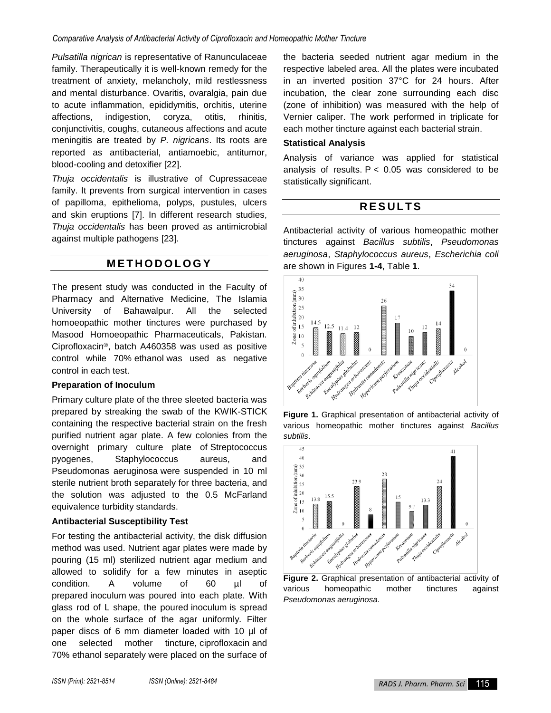*Pulsatilla nigrican* is representative of Ranunculaceae family. Therapeutically it is well-known remedy for the treatment of anxiety, melancholy, mild restlessness and mental disturbance. Ovaritis, ovaralgia, pain due to acute inflammation, epididymitis, orchitis, uterine affections, indigestion, coryza, otitis, rhinitis, conjunctivitis, coughs, cutaneous affections and acute meningitis are treated by *P. nigricans*. Its roots are reported as antibacterial, antiamoebic, antitumor, blood-cooling and detoxifier [22].

*Thuja occidentalis* is illustrative of Cupressaceae family. It prevents from surgical intervention in cases of papilloma, epithelioma, polyps, pustules, ulcers and skin eruptions [7]. In different research studies, *Thuja occidentalis* has been proved as antimicrobial against multiple pathogens [23].

## **M E T H O D O L O G Y**

The present study was conducted in the Faculty of Pharmacy and Alternative Medicine, The Islamia University of Bahawalpur. All the selected homoeopathic mother tinctures were purchased by Masood Homoeopathic Pharmaceuticals, Pakistan. Ciprofloxacin®, batch A460358 was used as positive control while 70% ethanol was used as negative control in each test.

### **Preparation of Inoculum**

Primary culture plate of the three sleeted bacteria was prepared by streaking the swab of the KWIK-STICK containing the respective bacterial strain on the fresh purified nutrient agar plate. A few colonies from the overnight primary culture plate of Streptococcus pyogenes, Staphylococcus aureus, and Pseudomonas aeruginosa were suspended in 10 ml sterile nutrient broth separately for three bacteria, and the solution was adjusted to the 0.5 McFarland equivalence turbidity standards.

### **Antibacterial Susceptibility Test**

For testing the antibacterial activity, the disk diffusion method was used. Nutrient agar plates were made by pouring (15 ml) sterilized nutrient agar medium and allowed to solidify for a few minutes in aseptic condition. A volume of 60 µl of prepared inoculum was poured into each plate. With glass rod of L shape, the poured inoculum is spread on the whole surface of the agar uniformly. Filter paper discs of 6 mm diameter loaded with 10 µl of one selected mother tincture, ciprofloxacin and 70% ethanol separately were placed on the surface of

the bacteria seeded nutrient agar medium in the respective labeled area. All the plates were incubated in an inverted position 37°C for 24 hours. After incubation, the clear zone surrounding each disc (zone of inhibition) was measured with the help of Vernier caliper. The work performed in triplicate for each mother tincture against each bacterial strain.

#### **Statistical Analysis**

Analysis of variance was applied for statistical analysis of results.  $P < 0.05$  was considered to be statistically significant.

## **R E S U L T S**

Antibacterial activity of various homeopathic mother tinctures against *Bacillus subtilis*, *Pseudomonas aeruginosa*, *Staphylococcus aureus*, *Escherichia coli* are shown in Figures **1-4**, Table **1**.



**Figure 1.** Graphical presentation of antibacterial activity of various homeopathic mother tinctures against *Bacillus subtilis*.



**Figure 2.** Graphical presentation of antibacterial activity of various homeopathic mother tinctures against *Pseudomonas aeruginosa*.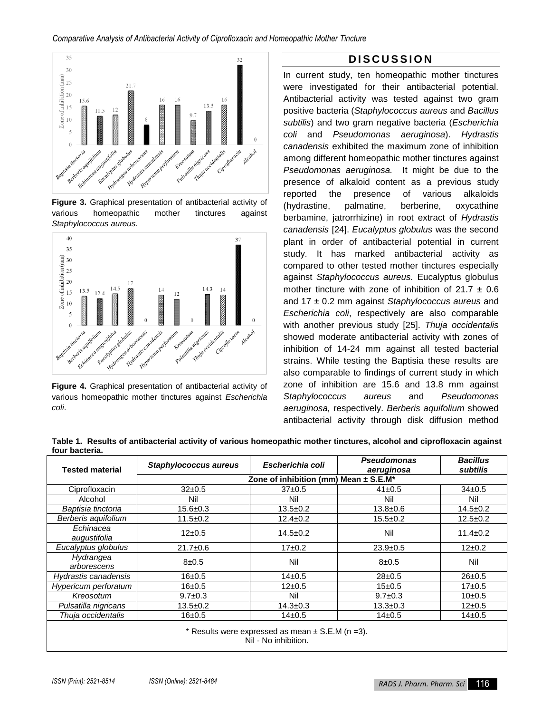

**Figure 3.** Graphical presentation of antibacterial activity of various homeopathic mother tinctures against *Staphylococcus aureus*.



**Figure 4.** Graphical presentation of antibacterial activity of various homeopathic mother tinctures against *Escherichia coli*.

## **D I S C U S S I O N**

In current study, ten homeopathic mother tinctures were investigated for their antibacterial potential. Antibacterial activity was tested against two gram positive bacteria (*Staphylococcus aureus* and *Bacillus subtilis*) and two gram negative bacteria (*Escherichia coli* and *Pseudomonas aeruginosa*). *Hydrastis canadensis* exhibited the maximum zone of inhibition among different homeopathic mother tinctures against *Pseudomonas aeruginosa.* It might be due to the presence of alkaloid content as a previous study reported the presence of various alkaloids (hydrastine, palmatine, berberine, oxycathine berbamine, jatrorrhizine) in root extract of *Hydrastis canadensis* [24]. *Eucalyptus globulus* was the second plant in order of antibacterial potential in current study. It has marked antibacterial activity as compared to other tested mother tinctures especially against *Staphylococcus aureus.* Eucalyptus globulus mother tincture with zone of inhibition of  $21.7 \pm 0.6$ and 17 ± 0.2 mm against *Staphylococcus aureus* and *Escherichia coli*, respectively are also comparable with another previous study [25]. *Thuja occidentalis* showed moderate antibacterial activity with zones of inhibition of 14-24 mm against all tested bacterial strains. While testing the Baptisia these results are also comparable to findings of current study in which zone of inhibition are 15.6 and 13.8 mm against *Staphylococcus aureus* and *Pseudomonas aeruginosa,* respectively. *Berberis aquifolium* showed antibacterial activity through disk diffusion method

**Table 1. Results of antibacterial activity of various homeopathic mother tinctures, alcohol and ciprofloxacin against four bacteria.**

| <b>Tested material</b>                                                        | Staphylococcus aureus                 | Escherichia coli | <b>Pseudomonas</b> | <b>Bacillus</b> |
|-------------------------------------------------------------------------------|---------------------------------------|------------------|--------------------|-----------------|
|                                                                               |                                       |                  | aeruginosa         | subtilis        |
|                                                                               | Zone of inhibition (mm) Mean ± S.E.M* |                  |                    |                 |
| Ciprofloxacin                                                                 | $32+0.5$                              | $37+0.5$         | $41 \pm 0.5$       | $34\pm0.5$      |
| Alcohol                                                                       | Nil                                   | Nil              | Nil                | Nil             |
| Baptisia tinctoria                                                            | 15.6±0.3                              | $13.5 \pm 0.2$   | $13.8 + 0.6$       | $14.5 \pm 0.2$  |
| Berberis aquifolium                                                           | $11.5 \pm 0.2$                        | $12.4 \pm 0.2$   | $15.5 \pm 0.2$     | $12.5+0.2$      |
| Echinacea<br>augustifolia                                                     | $12\pm0.5$                            | $14.5 \pm 0.2$   | Nil                | $11.4 \pm 0.2$  |
| Eucalyptus globulus                                                           | $21.7 \pm 0.6$                        | $17+0.2$         | $23.9 \pm 0.5$     | $12\pm0.2$      |
|                                                                               |                                       |                  |                    |                 |
| Hydrangea<br>arborescens                                                      | $8 + 0.5$                             | Nil              | $8 + 0.5$          | Nil             |
|                                                                               |                                       |                  |                    |                 |
| Hydrastis canadensis                                                          | 16±0.5                                | $14\pm0.5$       | $28 + 0.5$         | $26 + 0.5$      |
| Hypericum perforatum                                                          | 16±0.5                                | $12\pm0.5$       | 15±0.5             | 17±0.5          |
| Kreosotum                                                                     | $9.7 \pm 0.3$                         | Nil              | $9.7 \pm 0.3$      | 10±0.5          |
| Pulsatilla nigricans                                                          | $13.5 \pm 0.2$                        | $14.3 \pm 0.3$   | $13.3 \pm 0.3$     | $12\pm0.5$      |
| Thuja occidentalis                                                            | $16 + 0.5$                            | $14 + 0.5$       | $14\pm0.5$         | $14 + 0.5$      |
| * Results were expressed as mean $\pm$ S.E.M (n = 3).<br>Nil - No inhibition. |                                       |                  |                    |                 |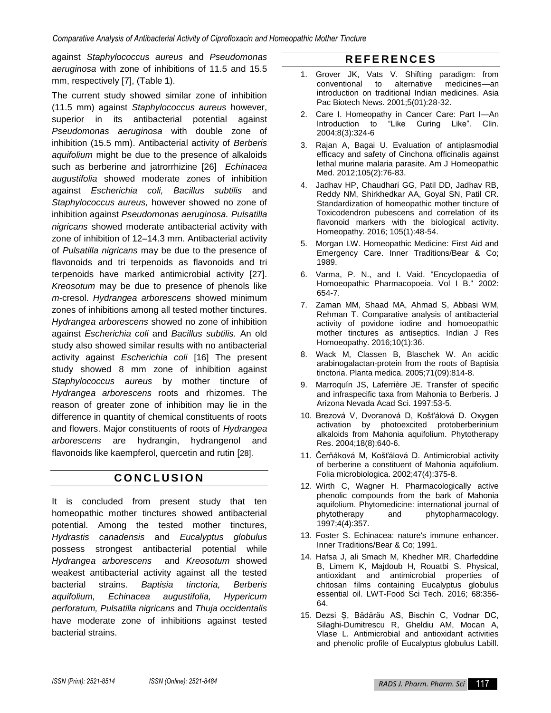against *Staphylococcus aureus* and *Pseudomonas aeruginosa* with zone of inhibitions of 11.5 and 15.5 mm, respectively [7], (Table **1**).

The current study showed similar zone of inhibition (11.5 mm) against *Staphylococcus aureus* however, superior in its antibacterial potential against *Pseudomonas aeruginosa* with double zone of inhibition (15.5 mm). Antibacterial activity of *Berberis aquifolium* might be due to the presence of alkaloids such as berberine and jatrorrhizine [26] *Echinacea augustifolia* showed moderate zones of inhibition against *Escherichia coli, Bacillus subtilis* and *Staphylococcus aureus,* however showed no zone of inhibition against *Pseudomonas aeruginosa. Pulsatilla nigricans* showed moderate antibacterial activity with zone of inhibition of 12–14.3 mm. Antibacterial activity of *Pulsatilla nigricans* may be due to the presence of flavonoids and tri terpenoids as flavonoids and tri terpenoids have marked antimicrobial activity [27]. *Kreosotum* may be due to presence of phenols like *m*-cresol. *Hydrangea arborescens* showed minimum zones of inhibitions among all tested mother tinctures. *Hydrangea arborescens* showed no zone of inhibition against *Escherichia coli* and *Bacillus subtilis.* An old study also showed similar results with no antibacterial activity against *Escherichia coli* [16] The present study showed 8 mm zone of inhibition against *Staphylococcus aureus* by mother tincture of *Hydrangea arborescens* roots and rhizomes. The reason of greater zone of inhibition may lie in the difference in quantity of chemical constituents of roots and flowers. Major constituents of roots of *Hydrangea arborescens* are hydrangin, hydrangenol and flavonoids like kaempferol, quercetin and rutin [28].

## **C O N C L U S I O N**

It is concluded from present study that ten homeopathic mother tinctures showed antibacterial potential. Among the tested mother tinctures, *Hydrastis canadensis* and *Eucalyptus globulus* possess strongest antibacterial potential while *Hydrangea arborescens* and *Kreosotum* showed weakest antibacterial activity against all the tested bacterial strains. *Baptisia tinctoria, Berberis aquifolium, Echinacea augustifolia, Hypericum perforatum, Pulsatilla nigricans* and *Thuja occidentalis*  have moderate zone of inhibitions against tested bacterial strains.

# **R E F E R E N C E S**

- 1. Grover JK, Vats V. Shifting paradigm: from conventional to alternative medicines—an introduction on traditional Indian medicines. Asia Pac Biotech News. 2001;5(01):28-32.
- 2. Care I. Homeopathy in Cancer Care: Part I—An Introduction to "Like Curing Like". Clin. 2004;8(3):324-6
- 3. Rajan A, Bagai U. Evaluation of antiplasmodial efficacy and safety of Cinchona officinalis against lethal murine malaria parasite. Am J Homeopathic Med. 2012;105(2):76-83.
- 4. Jadhav HP, Chaudhari GG, Patil DD, Jadhav RB, Reddy NM, Shirkhedkar AA, Goyal SN, Patil CR. Standardization of homeopathic mother tincture of Toxicodendron pubescens and correlation of its flavonoid markers with the biological activity. Homeopathy. 2016; 105(1):48-54.
- 5. Morgan LW. Homeopathic Medicine: First Aid and Emergency Care. Inner Traditions/Bear & Co; 1989.
- 6. Varma, P. N., and I. Vaid. "Encyclopaedia of Homoeopathic Pharmacopoeia. Vol I B." 2002: 654-7.
- 7. Zaman MM, Shaad MA, Ahmad S, Abbasi WM, Rehman T. Comparative analysis of antibacterial activity of povidone iodine and homoeopathic mother tinctures as antiseptics. Indian J Res Homoeopathy. 2016;10(1):36.
- 8. Wack M, Classen B, Blaschek W. An acidic arabinogalactan-protein from the roots of Baptisia tinctoria. Planta medica. 2005;71(09):814-8.
- 9. Marroquín JS, Laferrière JE. Transfer of specific and infraspecific taxa from Mahonia to Berberis. J Arizona Nevada Acad Sci. 1997:53-5.
- 10. Brezová V, Dvoranová D, Košt'álová D. Oxygen activation by photoexcited protoberberinium alkaloids from Mahonia aquifolium. Phytotherapy Res. 2004;18(8):640-6.
- 11. Čerňáková M, Košťálová D. Antimicrobial activity of berberine a constituent of Mahonia aquifolium. Folia microbiologica. 2002;47(4):375-8.
- 12. Wirth C, Wagner H. Pharmacologically active phenolic compounds from the bark of Mahonia aquifolium. Phytomedicine: international journal of phytotherapy and phytopharmacology. 1997;4(4):357.
- 13. Foster S. Echinacea: nature's immune enhancer. Inner Traditions/Bear & Co; 1991.
- 14. Hafsa J, ali Smach M, Khedher MR, Charfeddine B, Limem K, Majdoub H, Rouatbi S. Physical, antioxidant and antimicrobial properties of chitosan films containing Eucalyptus globulus essential oil. LWT-Food Sci Tech. 2016; 68:356- 64.
- 15. Dezsi Ș, Bădărău AS, Bischin C, Vodnar DC, Silaghi-Dumitrescu R, Gheldiu AM, Mocan A, Vlase L. Antimicrobial and antioxidant activities and phenolic profile of Eucalyptus globulus Labill.